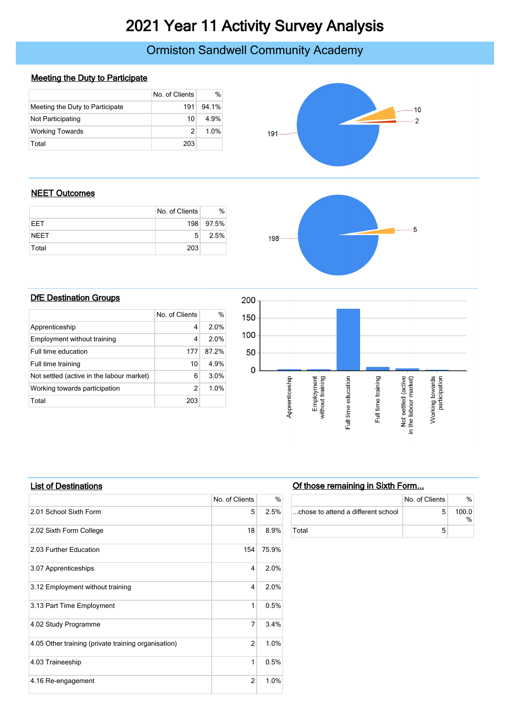# 2021 Year 11 Activity Survey Analysis

# Ormiston Sandwell Community Academy

### Meeting the Duty to Participate

|                                 | No. of Clients | $\%$  |
|---------------------------------|----------------|-------|
| Meeting the Duty to Participate | 191            | 94 1% |
| Not Participating               | 10             | 4.9%  |
| <b>Working Towards</b>          |                | 1.0%  |
| Total                           | 203            |       |



#### NEET Outcomes

|             | No. of Clients | ℅         |
|-------------|----------------|-----------|
| <b>FFT</b>  |                | 198 97.5% |
| <b>NEET</b> | 5              | 2.5%      |
| Total       | 203            |           |



#### **DfE Destination Groups**

|                                           | No. of Clients | $\%$  |
|-------------------------------------------|----------------|-------|
| Apprenticeship                            | 4              | 2.0%  |
| Employment without training               | 4              | 2.0%  |
| Full time education                       | 177            | 87 2% |
| Full time training                        | 10             | 4.9%  |
| Not settled (active in the labour market) | 6              | 3.0%  |
| Working towards participation             | $\mathcal{P}$  | 1.0%  |
| Total                                     | 203            |       |



#### List of Destinations

|                                                     | No. of Clients | %     |
|-----------------------------------------------------|----------------|-------|
| 2.01 School Sixth Form                              | 5              | 2.5%  |
| 2.02 Sixth Form College                             | 18             | 8.9%  |
| 2.03 Further Education                              | 154            | 75.9% |
| 3.07 Apprenticeships                                | 4              | 2.0%  |
| 3.12 Employment without training                    | 4              | 2.0%  |
| 3.13 Part Time Employment                           | 1              | 0.5%  |
| 4.02 Study Programme                                | 7              | 3.4%  |
| 4.05 Other training (private training organisation) | 2              | 1.0%  |
| 4.03 Traineeship                                    | 1              | 0.5%  |
| 4.16 Re-engagement                                  | $\overline{2}$ | 1.0%  |

## Of those remaining in Sixth Form...

|                                    | No. of Clients | %       |
|------------------------------------|----------------|---------|
| chose to attend a different school | 5              | 100 $0$ |
| Total                              |                |         |